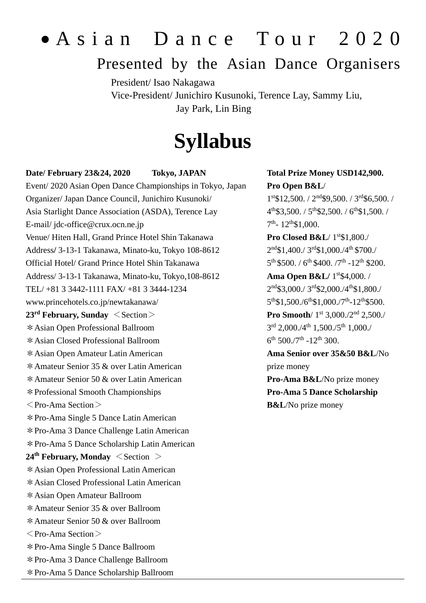# • A s i a n D a n c e T o u r 2 0 2 0

# Presented by the Asian Dance Organisers

President/ Isao Nakagawa Vice-President/ Junichiro Kusunoki, Terence Lay, Sammy Liu, Jay Park, Lin Bing

# **Syllabus**

#### **Date/ February 23&24, 2020 Tokyo, JAPAN**

Event/ 2020 Asian Open Dance Championships in Tokyo, Japan Organizer/ Japan Dance Council, Junichiro Kusunoki/ Asia Starlight Dance Association (ASDA), Terence Lay E-mail/ jdc-office@crux.ocn.ne.jp Venue/ Hiten Hall, Grand Prince Hotel Shin Takanawa Address**/** 3-13-1 Takanawa, Minato-ku, Tokyo 108-8612 Official Hotel/ Grand Prince Hotel Shin Takanawa Address/ 3-13-1 Takanawa, Minato-ku, Tokyo,108-8612 TEL/ +81 3 3442-1111 FAX/ +81 3 3444-1234 www.princehotels.co.jp/newtakanawa/ **23rd February, Sunday** <Section> \*Asian Open Professional Ballroom \*Asian Closed Professional Ballroom \*Asian Open Amateur Latin American \*Amateur Senior 35 & over Latin American \*Amateur Senior 50 & over Latin American \*Professional Smooth Championships  $\langle$  Pro-Ama Section $\rangle$ \*Pro-Ama Single 5 Dance Latin American \*Pro-Ama 3 Dance Challenge Latin American \*Pro-Ama 5 Dance Scholarship Latin American **24th February, Monday** <Section > \*Asian Open Professional Latin American \*Asian Closed Professional Latin American \*Asian Open Amateur Ballroom \*Amateur Senior 35 & over Ballroom \*Amateur Senior 50 & over Ballroom  $\leq$  Pro-Ama Section $>$ \*Pro-Ama Single 5 Dance Ballroom \*Pro-Ama 3 Dance Challenge Ballroom \*Pro-Ama 5 Dance Scholarship Ballroom

### **Total Prize Money USD142,900. Pro Open B&L**/

1 st\$12,500. / 2nd\$9,500. / 3rd\$6,500. /  $4<sup>th</sup>$3,500. / 5<sup>th</sup>$2,500. / 6<sup>th</sup>$1,500. /$  $7<sup>th</sup> - 12<sup>th</sup>$1,000.$ 

**Pro Closed B&L**/  $1^{st}\$1,800$ ./ 2 nd\$1,400./ 3rd\$1,000./4th \$700./  $5^{\text{th}}$  \$500. /  $6^{\text{th}}$  \$400. /7<sup>th</sup> -12<sup>th</sup> \$200.

**Ama Open B&L/** 1<sup>st</sup>\$4,000. /  $2<sup>nd</sup>$3,000./3<sup>rd</sup>$2,000./4<sup>th</sup>$1,800./$ 5<sup>th</sup>\$1,500./6<sup>th</sup>\$1,000./7<sup>th</sup>-12<sup>th</sup>\$500.

Pro Smooth/ 1<sup>st</sup> 3,000./2<sup>nd</sup> 2,500./ 3rd 2,000./4<sup>th</sup> 1,500./5<sup>th</sup> 1,000./  $6^{\text{th}}$  500./7<sup>th</sup> -12<sup>th</sup> 300.

**Ama Senior over 35&50 B&L**/No prize money **Pro-Ama B&L**/No prize money

**Pro-Ama 5 Dance Scholarship B&L**/No prize money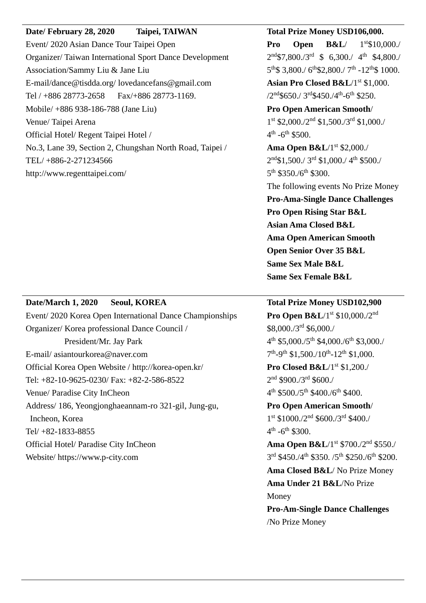### **Date/ February 28, 2020 Taipei, TAIWAN**

Event/ 2020 Asian Dance Tour Taipei Open Organizer/ Taiwan International Sport Dance Development Association/Sammy Liu & Jane Liu E-mail/dance@tisdda.org/ lovedancefans@gmail.com Tel / +886 28773-2658 Fax/+886 28773-1169. Mobile/ +886 938-186-788 (Jane Liu) Venue/ Taipei Arena Official Hotel/ Regent Taipei Hotel / No.3, Lane 39, Section 2, Chungshan North Road, Taipei / TEL/ +886-2-271234566 http://www.regenttaipei.com/

#### **Total Prize Money USD106,000.**

**Pro Open B&L**/ 1  $1<sup>st</sup>$10,000$ ./  $2<sup>nd</sup>$7,800./3<sup>rd</sup> $6,300./ 4<sup>th</sup> $4,800./$  $5<sup>th</sup>$3,800./ 6<sup>th</sup>$2,800./ 7<sup>th</sup> -12<sup>th</sup>$1000.$ 

Asian Pro Closed B&L/1<sup>st</sup> \$1,000.  $/2<sup>nd</sup>$650./3<sup>rd</sup>$450./4<sup>th</sup> - 6<sup>th</sup> $250.$ 

**Pro Open American Smooth**/ 1 st \$2,000./2nd \$1,500./3rd \$1,000./  $4^{\text{th}}$  -6<sup>th</sup> \$500.

**Ama Open B&L**/1<sup>st</sup> \$2,000./ 2<sup>nd</sup>\$1,500./ 3<sup>rd</sup> \$1,000./ 4<sup>th</sup> \$500./ 5<sup>th</sup> \$350./6<sup>th</sup> \$300.

The following events No Prize Money **Pro-Ama-Single Dance Challenges Pro Open Rising Star B&L Asian Ama Closed B&L Ama Open American Smooth Open Senior Over 35 B&L Same Sex Male B&L Same Sex Female B&L**

#### **Date/March 1, 2020 Seoul, KOREA**

Event/ 2020 Korea Open International Dance Championships Organizer/ Korea professional Dance Council / President/Mr. Jay Park E-mail/ asiantourkorea@naver.com Official Korea Open Website / http://korea-open.kr/ Tel: +82-10-9625-0230/ Fax: +82-2-586-8522 Venue/ Paradise City InCheon Address/ 186, Yeongjonghaeannam-ro 321-gil, Jung-gu, Incheon, Korea Tel/ +82-1833-8855 Official Hotel/ Paradise City InCheon Website/ https://www.p-city.com

#### **Total Prize Money USD102,900**

**Pro Open B&L**/1<sup>st</sup> \$10,000./2<sup>nd</sup> \$8,000./3rd \$6,000./  $4<sup>th</sup>$  \$5,000./5<sup>th</sup> \$4,000./6<sup>th</sup> \$3,000./  $7<sup>th</sup> - 9<sup>th</sup>$  \$1,500./10<sup>th</sup>-12<sup>th</sup> \$1,000. **Pro Closed B&L/1st \$1,200./** 

 $2<sup>nd</sup>$  \$900./3<sup>rd</sup> \$600./  $4<sup>th</sup>$  \$500./5<sup>th</sup> \$400./6<sup>th</sup> \$400.

**Pro Open American Smooth**/ 1 st \$1000./2nd \$600./3rd \$400./  $4^{\text{th}}$  -6<sup>th</sup> \$300.

**Ama Open B&L**/1<sup>st</sup> \$700./2<sup>nd</sup> \$550./ 3<sup>rd</sup> \$450./4<sup>th</sup> \$350./5<sup>th</sup> \$250./6<sup>th</sup> \$200.

**Ama Closed B&L**/ No Prize Money **Ama Under 21 B&L**/No Prize Money

**Pro-Am-Single Dance Challenges** /No Prize Money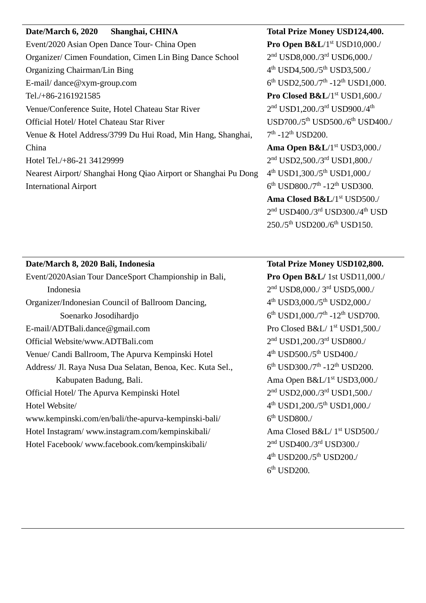# **Date/March 6, 2020 Shanghai, CHINA** Event/2020 Asian Open Dance Tour- China Open Organizer/ Cimen Foundation, Cimen Lin Bing Dance School Organizing Chairman/Lin Bing E-mail/ dance@xym-group.com Tel./+86-2161921585 Venue/Conference Suite, Hotel Chateau Star River Official Hotel/ Hotel Chateau Star River Venue & Hotel Address/3799 Du Hui Road, Min Hang, Shanghai, China Hotel Tel./+86-21 34129999 Nearest Airport/ Shanghai Hong Qiao Airport or Shanghai Pu Dong International Airport

# **Total Prize Money USD124,400.**

**Pro Open B&L/1st USD10,000./** 2 nd USD8,000./3rd USD6,000./ 4<sup>th</sup> USD4,500./5<sup>th</sup> USD3,500./  $6<sup>th</sup>$  USD2,500./7<sup>th</sup> -12<sup>th</sup> USD1,000. **Pro Closed B&L/1st USD1,600./** 

 $2<sup>nd</sup>$  USD1,200./3<sup>rd</sup> USD900./4<sup>th</sup> USD700./5<sup>th</sup> USD500./6<sup>th</sup> USD400./ 7<sup>th</sup> -12<sup>th</sup> USD200.

**Ama Open B&L**/1<sup>st</sup> USD3,000./ 2 nd USD2,500./3rd USD1,800./ 4<sup>th</sup> USD1,300./5<sup>th</sup> USD1,000./  $6<sup>th</sup>$  USD800./7<sup>th</sup> -12<sup>th</sup> USD300. Ama Closed B&L/1<sup>st</sup> USD500./ 2<sup>nd</sup> USD400./3<sup>rd</sup> USD300./4<sup>th</sup> USD 250./5th USD200./6th USD150.

# **Date/March 8, 2020 Bali, Indonesia**

Event/2020Asian Tour DanceSport Championship in Bali, Indonesia Organizer/Indonesian Council of Ballroom Dancing, Soenarko Josodihardjo E-mail/ADTBali.dance@gmail.com Official Website/www.ADTBali.com Venue/ Candi Ballroom, The Apurva Kempinski Hotel Address/ Jl. Raya Nusa Dua Selatan, Benoa, Kec. Kuta Sel., Kabupaten Badung, Bali. Official Hotel/ The Apurva Kempinski Hotel Hotel Website/ www.kempinski.com/en/bali/the-apurva-kempinski-bali/ Hotel Instagram/ www.instagram.com/kempinskibali/ Hotel Facebook/ www.facebook.com/kempinskibali/

**Total Prize Money USD102,800. Pro Open B&L/** 1st USD11,000./ 2 nd USD8,000./ 3rd USD5,000./ 4<sup>th</sup> USD3,000./5<sup>th</sup> USD2,000./  $6<sup>th</sup>$  USD1,000./7<sup>th</sup> -12<sup>th</sup> USD700. Pro Closed B&L/ 1st USD1,500./ 2 nd USD1,200./3rd USD800./ 4 th USD500./5th USD400./  $6^{th}$  USD300./7<sup>th</sup> -12<sup>th</sup> USD200. Ama Open B&L/1<sup>st</sup> USD3,000./ 2<sup>nd</sup> USD2,000./3<sup>rd</sup> USD1,500./ 4<sup>th</sup> USD1,200./5<sup>th</sup> USD1,000./  $6<sup>th</sup>$  USD800./ Ama Closed B&L/ 1<sup>st</sup> USD500./ 2<sup>nd</sup> USD400./3<sup>rd</sup> USD300./  $4^{\text{th}}$  USD200./5<sup>th</sup> USD200./ 6 th USD200.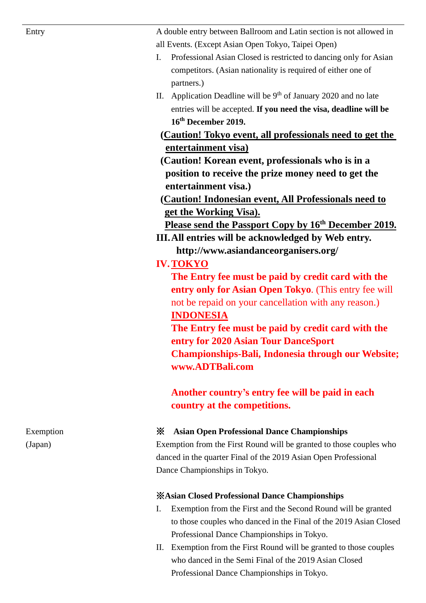A double entry between Ballroom and Latin section is not allowed in all Events. (Except Asian Open Tokyo, Taipei Open)

- I. Professional Asian Closed is restricted to dancing only for Asian competitors. (Asian nationality is required of either one of partners.)
- II. Application Deadline will be  $9<sup>th</sup>$  of January 2020 and no late entries will be accepted. **If you need the visa, deadline will be 16 th December 2019.**

**(Caution! Tokyo event, all professionals need to get the entertainment visa)**

**(Caution! Korean event, professionals who is in a position to receive the prize money need to get the entertainment visa.)**

**(Caution! Indonesian event, All Professionals need to get the Working Visa).**

**Please send the Passport Copy by 16th December 2019.**

**III.All entries will be acknowledged by Web entry. http://www.asiandanceorganisers.org/**

# **IV.TOKYO**

**The Entry fee must be paid by credit card with the entry only for Asian Open Tokyo**. (This entry fee will not be repaid on your cancellation with any reason.) **INDONESIA**

**The Entry fee must be paid by credit card with the entry for 2020 Asian Tour DanceSport Championships-Bali, Indonesia through our Website; www.ADTBali.com**

**Another country's entry fee will be paid in each country at the competitions.**

# ※ **Asian Open Professional Dance Championships**

Exemption from the First Round will be granted to those couples who danced in the quarter Final of the 2019 Asian Open Professional Dance Championships in Tokyo.

# ※**Asian Closed Professional Dance Championships**

- I. Exemption from the First and the Second Round will be granted to those couples who danced in the Final of the 2019 Asian Closed Professional Dance Championships in Tokyo.
- II. Exemption from the First Round will be granted to those couples who danced in the Semi Final of the 2019 Asian Closed Professional Dance Championships in Tokyo.

Exemption (Japan)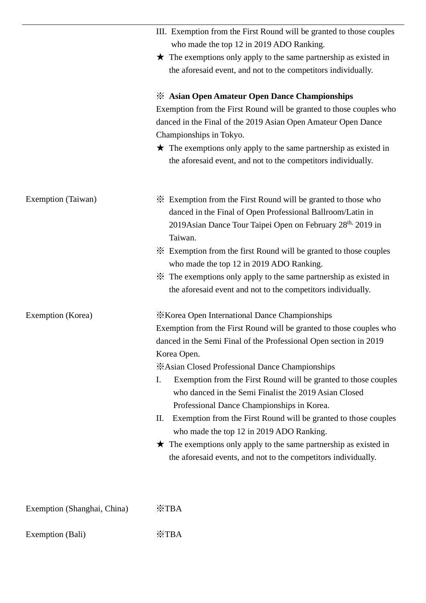|                             | III. Exemption from the First Round will be granted to those couples<br>who made the top 12 in 2019 ADO Ranking.                                                                                                                                                                                                                                                                                                                                                                                                                                                                                                                                                                                                      |
|-----------------------------|-----------------------------------------------------------------------------------------------------------------------------------------------------------------------------------------------------------------------------------------------------------------------------------------------------------------------------------------------------------------------------------------------------------------------------------------------------------------------------------------------------------------------------------------------------------------------------------------------------------------------------------------------------------------------------------------------------------------------|
|                             | $\star$ The exemptions only apply to the same partnership as existed in<br>the aforesaid event, and not to the competitors individually.                                                                                                                                                                                                                                                                                                                                                                                                                                                                                                                                                                              |
|                             | <b>EXALGORY ASSESS</b> Asian Open Amateur Open Dance Championships<br>Exemption from the First Round will be granted to those couples who<br>danced in the Final of the 2019 Asian Open Amateur Open Dance<br>Championships in Tokyo.<br>$\star$ The exemptions only apply to the same partnership as existed in<br>the aforesaid event, and not to the competitors individually.                                                                                                                                                                                                                                                                                                                                     |
| Exemption (Taiwan)          | * Exemption from the First Round will be granted to those who<br>danced in the Final of Open Professional Ballroom/Latin in<br>2019 Asian Dance Tour Taipei Open on February 28th, 2019 in<br>Taiwan.                                                                                                                                                                                                                                                                                                                                                                                                                                                                                                                 |
|                             | * Exemption from the first Round will be granted to those couples<br>who made the top 12 in 2019 ADO Ranking.                                                                                                                                                                                                                                                                                                                                                                                                                                                                                                                                                                                                         |
|                             | X The exemptions only apply to the same partnership as existed in<br>the aforesaid event and not to the competitors individually.                                                                                                                                                                                                                                                                                                                                                                                                                                                                                                                                                                                     |
| Exemption (Korea)           | <b>XX</b> Korea Open International Dance Championships<br>Exemption from the First Round will be granted to those couples who<br>danced in the Semi Final of the Professional Open section in 2019<br>Korea Open.<br>*Asian Closed Professional Dance Championships<br>Exemption from the First Round will be granted to those couples<br>Ι.<br>who danced in the Semi Finalist the 2019 Asian Closed<br>Professional Dance Championships in Korea.<br>Exemption from the First Round will be granted to those couples<br>П.<br>who made the top 12 in 2019 ADO Ranking.<br>$\star$ The exemptions only apply to the same partnership as existed in<br>the aforesaid events, and not to the competitors individually. |
| Exemption (Shanghai, China) | XTBA                                                                                                                                                                                                                                                                                                                                                                                                                                                                                                                                                                                                                                                                                                                  |

Exemption (Bali) ※TBA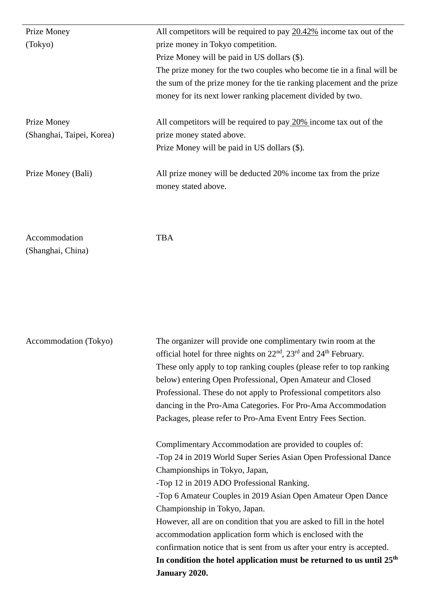| Prize Money               | All competitors will be required to pay 20.42% income tax out of the   |
|---------------------------|------------------------------------------------------------------------|
| (Tokyo)                   | prize money in Tokyo competition.                                      |
|                           | Prize Money will be paid in US dollars (\$).                           |
|                           | The prize money for the two couples who become tie in a final will be  |
|                           | the sum of the prize money for the tie ranking placement and the prize |
|                           | money for its next lower ranking placement divided by two.             |
| Prize Money               | All competitors will be required to pay 20% income tax out of the      |
| (Shanghai, Taipei, Korea) | prize money stated above.                                              |
|                           | Prize Money will be paid in US dollars (\$).                           |
| Prize Money (Bali)        | All prize money will be deducted 20% income tax from the prize         |
|                           | money stated above.                                                    |
|                           |                                                                        |

Accommodation (Shanghai, China) TBA

|                       | January 2020.                                                                                         |
|-----------------------|-------------------------------------------------------------------------------------------------------|
|                       | In condition the hotel application must be returned to us until $25th$                                |
|                       | confirmation notice that is sent from us after your entry is accepted.                                |
|                       | accommodation application form which is enclosed with the                                             |
|                       | However, all are on condition that you are asked to fill in the hotel                                 |
|                       | Championship in Tokyo, Japan.                                                                         |
|                       | -Top 6 Amateur Couples in 2019 Asian Open Amateur Open Dance                                          |
|                       | -Top 12 in 2019 ADO Professional Ranking.                                                             |
|                       | Championships in Tokyo, Japan,                                                                        |
|                       | -Top 24 in 2019 World Super Series Asian Open Professional Dance                                      |
|                       | Complimentary Accommodation are provided to couples of:                                               |
|                       | Packages, please refer to Pro-Ama Event Entry Fees Section.                                           |
|                       | dancing in the Pro-Ama Categories. For Pro-Ama Accommodation                                          |
|                       | Professional. These do not apply to Professional competitors also                                     |
|                       | below) entering Open Professional, Open Amateur and Closed                                            |
|                       | These only apply to top ranking couples (please refer to top ranking                                  |
|                       | official hotel for three nights on 22 <sup>nd</sup> , 23 <sup>rd</sup> and 24 <sup>th</sup> February. |
| Accommodation (Tokyo) | The organizer will provide one complimentary twin room at the                                         |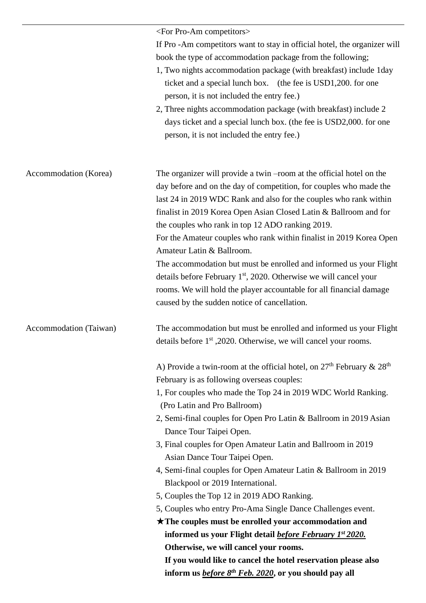|                        | <for competitors="" pro-am=""></for>                                                                                                                                                                         |
|------------------------|--------------------------------------------------------------------------------------------------------------------------------------------------------------------------------------------------------------|
|                        | If Pro -Am competitors want to stay in official hotel, the organizer will<br>book the type of accommodation package from the following;<br>1, Two nights accommodation package (with breakfast) include 1day |
|                        | ticket and a special lunch box. (the fee is USD1,200. for one<br>person, it is not included the entry fee.)                                                                                                  |
|                        | 2, Three nights accommodation package (with breakfast) include 2<br>days ticket and a special lunch box. (the fee is USD2,000. for one<br>person, it is not included the entry fee.)                         |
| Accommodation (Korea)  | The organizer will provide a twin –room at the official hotel on the<br>day before and on the day of competition, for couples who made the                                                                   |
|                        | last 24 in 2019 WDC Rank and also for the couples who rank within<br>finalist in 2019 Korea Open Asian Closed Latin & Ballroom and for                                                                       |
|                        | the couples who rank in top 12 ADO ranking 2019.<br>For the Amateur couples who rank within finalist in 2019 Korea Open<br>Amateur Latin & Ballroom.                                                         |
|                        | The accommodation but must be enrolled and informed us your Flight<br>details before February $1st$ , 2020. Otherwise we will cancel your                                                                    |
|                        | rooms. We will hold the player accountable for all financial damage<br>caused by the sudden notice of cancellation.                                                                                          |
| Accommodation (Taiwan) | The accommodation but must be enrolled and informed us your Flight<br>details before 1 <sup>st</sup> , 2020. Otherwise, we will cancel your rooms.                                                           |
|                        | A) Provide a twin-room at the official hotel, on $27th$ February & $28th$                                                                                                                                    |
|                        | February is as following overseas couples:<br>1, For couples who made the Top 24 in 2019 WDC World Ranking.<br>(Pro Latin and Pro Ballroom)                                                                  |
|                        | 2, Semi-final couples for Open Pro Latin & Ballroom in 2019 Asian<br>Dance Tour Taipei Open.                                                                                                                 |
|                        | 3, Final couples for Open Amateur Latin and Ballroom in 2019<br>Asian Dance Tour Taipei Open.                                                                                                                |
|                        | 4, Semi-final couples for Open Amateur Latin & Ballroom in 2019<br>Blackpool or 2019 International.                                                                                                          |
|                        | 5, Couples the Top 12 in 2019 ADO Ranking.                                                                                                                                                                   |
|                        | 5, Couples who entry Pro-Ama Single Dance Challenges event.                                                                                                                                                  |
|                        | $\star$ The couples must be enrolled your accommodation and                                                                                                                                                  |
|                        | informed us your Flight detail <i>before February 1st 2020</i> .                                                                                                                                             |
|                        | Otherwise, we will cancel your rooms.                                                                                                                                                                        |
|                        | If you would like to cancel the hotel reservation please also<br>inform us <i>before 8<sup>th</sup> Feb. 2020</i> , or you should pay all                                                                    |
|                        |                                                                                                                                                                                                              |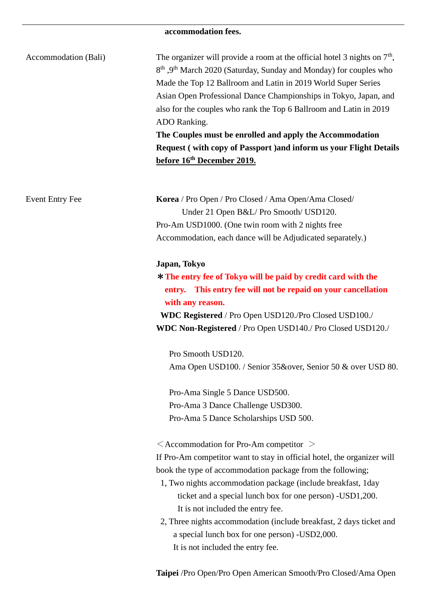# **accommodation fees.**

| Accommodation (Bali)   | The organizer will provide a room at the official hotel 3 nights on $7th$ ,<br>8 <sup>th</sup> , 9 <sup>th</sup> March 2020 (Saturday, Sunday and Monday) for couples who<br>Made the Top 12 Ballroom and Latin in 2019 World Super Series<br>Asian Open Professional Dance Championships in Tokyo, Japan, and<br>also for the couples who rank the Top 6 Ballroom and Latin in 2019<br>ADO Ranking.<br>The Couples must be enrolled and apply the Accommodation<br><b>Request (with copy of Passport) and inform us your Flight Details</b><br>before 16 <sup>th</sup> December 2019. |
|------------------------|----------------------------------------------------------------------------------------------------------------------------------------------------------------------------------------------------------------------------------------------------------------------------------------------------------------------------------------------------------------------------------------------------------------------------------------------------------------------------------------------------------------------------------------------------------------------------------------|
| <b>Event Entry Fee</b> | Korea / Pro Open / Pro Closed / Ama Open/Ama Closed/<br>Under 21 Open B&L/Pro Smooth/ USD120.<br>Pro-Am USD1000. (One twin room with 2 nights free<br>Accommodation, each dance will be Adjudicated separately.)                                                                                                                                                                                                                                                                                                                                                                       |
|                        | Japan, Tokyo<br>* The entry fee of Tokyo will be paid by credit card with the<br>entry. This entry fee will not be repaid on your cancellation<br>with any reason.<br>WDC Registered / Pro Open USD120./Pro Closed USD100./<br>WDC Non-Registered / Pro Open USD140./ Pro Closed USD120./                                                                                                                                                                                                                                                                                              |
|                        | Pro Smooth USD120.<br>Ama Open USD100. / Senior 35&over, Senior 50 & over USD 80.                                                                                                                                                                                                                                                                                                                                                                                                                                                                                                      |
|                        | Pro-Ama Single 5 Dance USD500.<br>Pro-Ama 3 Dance Challenge USD300.<br>Pro-Ama 5 Dance Scholarships USD 500.                                                                                                                                                                                                                                                                                                                                                                                                                                                                           |
|                        | $\leq$ Accommodation for Pro-Am competitor $\geq$<br>If Pro-Am competitor want to stay in official hotel, the organizer will<br>book the type of accommodation package from the following;<br>1, Two nights accommodation package (include breakfast, 1day<br>ticket and a special lunch box for one person) -USD1,200.<br>It is not included the entry fee.<br>2, Three nights accommodation (include breakfast, 2 days ticket and<br>a special lunch box for one person) -USD2,000.<br>It is not included the entry fee.                                                             |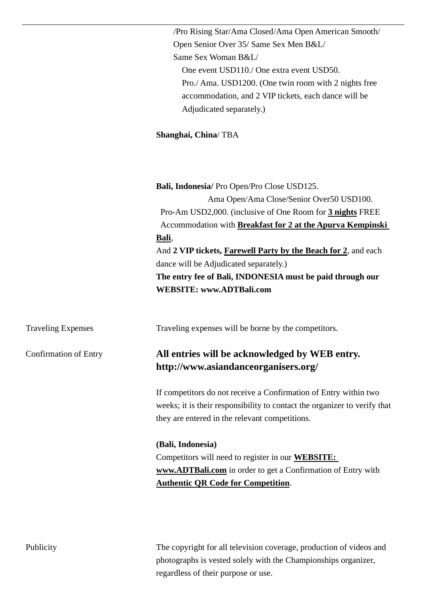|                              | /Pro Rising Star/Ama Closed/Ama Open American Smooth/                                                                                 |
|------------------------------|---------------------------------------------------------------------------------------------------------------------------------------|
|                              | Open Senior Over 35/ Same Sex Men B&L/                                                                                                |
|                              | Same Sex Woman B&L/                                                                                                                   |
|                              | One event USD110./ One extra event USD50.                                                                                             |
|                              | Pro./ Ama. USD1200. (One twin room with 2 nights free                                                                                 |
|                              | accommodation, and 2 VIP tickets, each dance will be                                                                                  |
|                              | Adjudicated separately.)                                                                                                              |
|                              | Shanghai, China/TBA                                                                                                                   |
|                              | Bali, Indonesia/ Pro Open/Pro Close USD125.                                                                                           |
|                              | Ama Open/Ama Close/Senior Over50 USD100.                                                                                              |
|                              | Pro-Am USD2,000. (inclusive of One Room for 3 nights FREE                                                                             |
|                              | Accommodation with Breakfast for 2 at the Apurva Kempinski                                                                            |
|                              | Bali,                                                                                                                                 |
|                              | And 2 VIP tickets, <b>Farewell Party by the Beach for 2</b> , and each                                                                |
|                              | dance will be Adjudicated separately.)                                                                                                |
|                              | The entry fee of Bali, INDONESIA must be paid through our                                                                             |
|                              | <b>WEBSITE: www.ADTBali.com</b>                                                                                                       |
| <b>Traveling Expenses</b>    | Traveling expenses will be borne by the competitors.                                                                                  |
| <b>Confirmation of Entry</b> | All entries will be acknowledged by WEB entry.                                                                                        |
|                              | http://www.asiandanceorganisers.org/                                                                                                  |
|                              | If competitors do not receive a Confirmation of Entry within two                                                                      |
|                              | weeks; it is their responsibility to contact the organizer to verify that                                                             |
|                              | they are entered in the relevant competitions.                                                                                        |
|                              | (Bali, Indonesia)                                                                                                                     |
|                              | Competitors will need to register in our <b>WEBSITE:</b>                                                                              |
|                              | www.ADTBali.com in order to get a Confirmation of Entry with                                                                          |
|                              | <b>Authentic QR Code for Competition.</b>                                                                                             |
|                              |                                                                                                                                       |
| Publicity                    | The copyright for all television coverage, production of videos and<br>photographs is vested solely with the Championships organizer, |
|                              | regardless of their purpose or use.                                                                                                   |